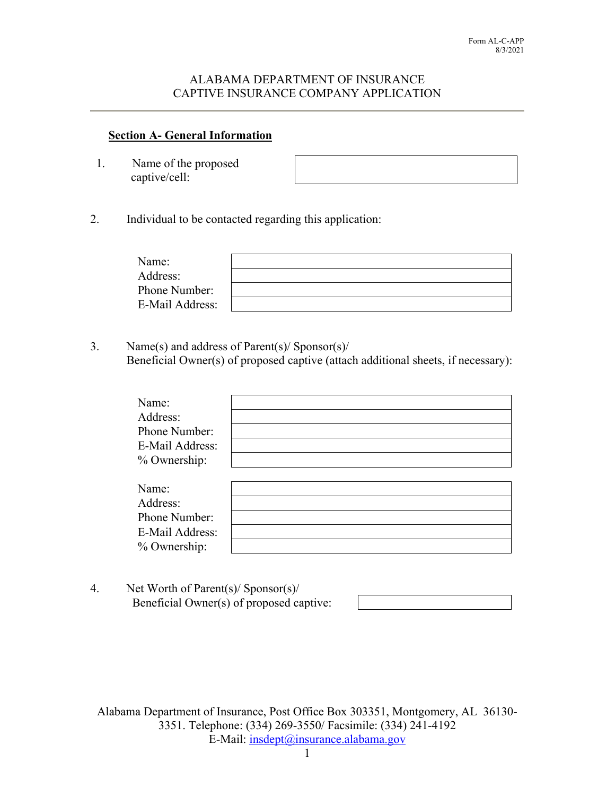### ALABAMA DEPARTMENT OF INSURANCE CAPTIVE INSURANCE COMPANY APPLICATION

## **Section A- General Information**

1. Name of the proposed captive/cell:

2. Individual to be contacted regarding this application:

| Name:           |  |
|-----------------|--|
| Address:        |  |
| Phone Number:   |  |
| E-Mail Address: |  |

3. Name(s) and address of Parent(s)/ Sponsor(s)/ Beneficial Owner(s) of proposed captive (attach additional sheets, if necessary):

| Name:<br>Address:<br>Phone Number:<br>E-Mail Address:<br>% Ownership: |  |  |
|-----------------------------------------------------------------------|--|--|
| Name:<br>Address:<br>Phone Number:<br>E-Mail Address:<br>% Ownership: |  |  |

4. Net Worth of Parent(s)/ Sponsor(s)/ Beneficial Owner(s) of proposed captive: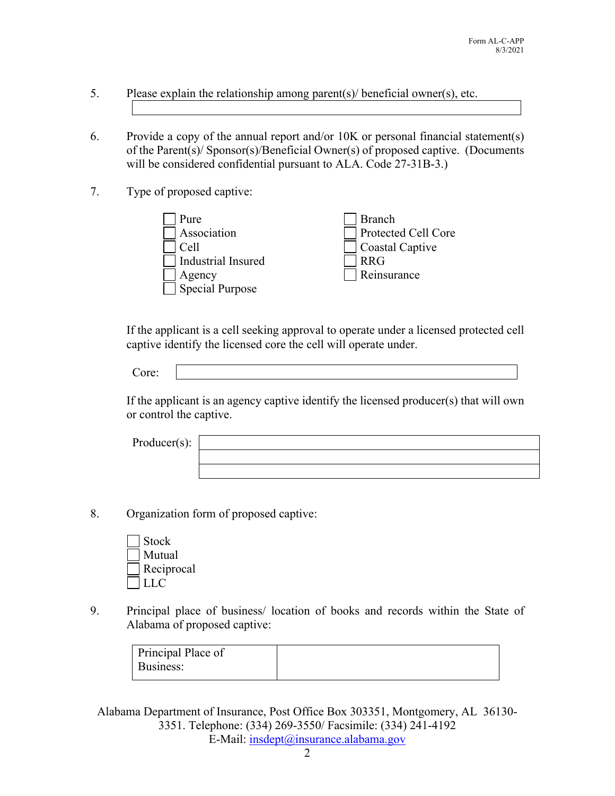- 5. Please explain the relationship among parent(s)/ beneficial owner(s), etc.
- 6. Provide a copy of the annual report and/or 10K or personal financial statement(s) of the Parent(s)/ Sponsor(s)/Beneficial Owner(s) of proposed captive. (Documents will be considered confidential pursuant to ALA. Code 27-31B-3.)
- 7. Type of proposed captive:



If the applicant is a cell seeking approval to operate under a licensed protected cell captive identify the licensed core the cell will operate under.

If the applicant is an agency captive identify the licensed producer(s) that will own or control the captive.

| Product(s): |  |
|-------------|--|
|             |  |
|             |  |

- 8. Organization form of proposed captive:
	- Stock Mutual Reciprocal LLC
- 9. Principal place of business/ location of books and records within the State of Alabama of proposed captive:

| Principal Place of |  |
|--------------------|--|
| Business:          |  |
|                    |  |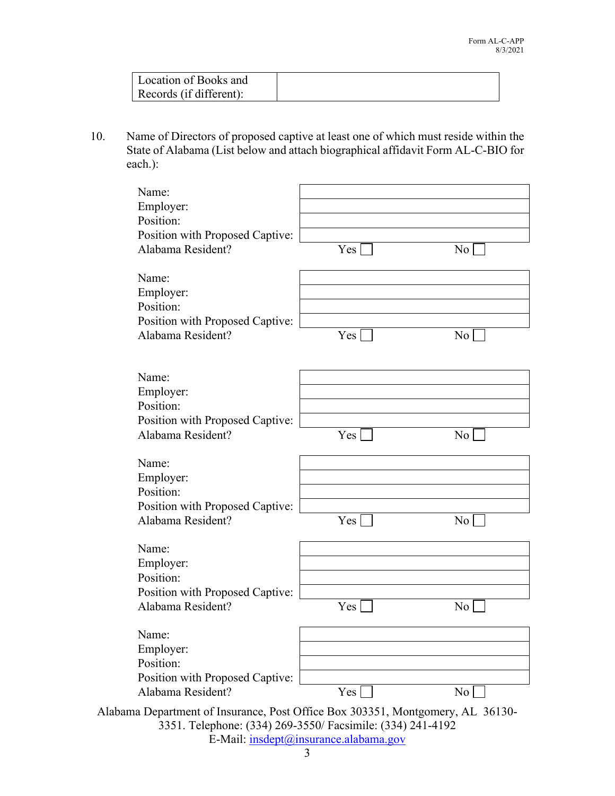| Location of Books and   |  |
|-------------------------|--|
| Records (if different): |  |

10. Name of Directors of proposed captive at least one of which must reside within the State of Alabama (List below and attach biographical affidavit Form AL-C-BIO for each.):

| Name:<br>Employer:<br>Position:<br>Position with Proposed Captive:<br>Alabama Resident? | Yes | No             |
|-----------------------------------------------------------------------------------------|-----|----------------|
| Name:                                                                                   |     |                |
| Employer:                                                                               |     |                |
| Position:                                                                               |     |                |
| Position with Proposed Captive:<br>Alabama Resident?                                    | Yes | No             |
|                                                                                         |     |                |
| Name:                                                                                   |     |                |
| Employer:                                                                               |     |                |
| Position:                                                                               |     |                |
| Position with Proposed Captive:                                                         |     |                |
| Alabama Resident?                                                                       | Yes | No.            |
| Name:                                                                                   |     |                |
| Employer:                                                                               |     |                |
| Position:                                                                               |     |                |
| Position with Proposed Captive:                                                         |     |                |
| Alabama Resident?                                                                       | Yes | No.            |
| Name:                                                                                   |     |                |
| Employer:                                                                               |     |                |
| Position:                                                                               |     |                |
| Position with Proposed Captive:                                                         |     |                |
| Alabama Resident?                                                                       | Yes | N <sub>o</sub> |
| Name:                                                                                   |     |                |
| Employer:                                                                               |     |                |
| Position:                                                                               |     |                |
| Position with Proposed Captive:                                                         |     |                |
| Alabama Resident?                                                                       | Yes | No             |
| Alabama Department of Insurance, Post Office Box 303351, Montgomery, AL 36130-          |     |                |

3351. Telephone: (334) 269-3550/ Facsimile: (334) 241-4192 E-Mail: insdept@insurance.alabama.gov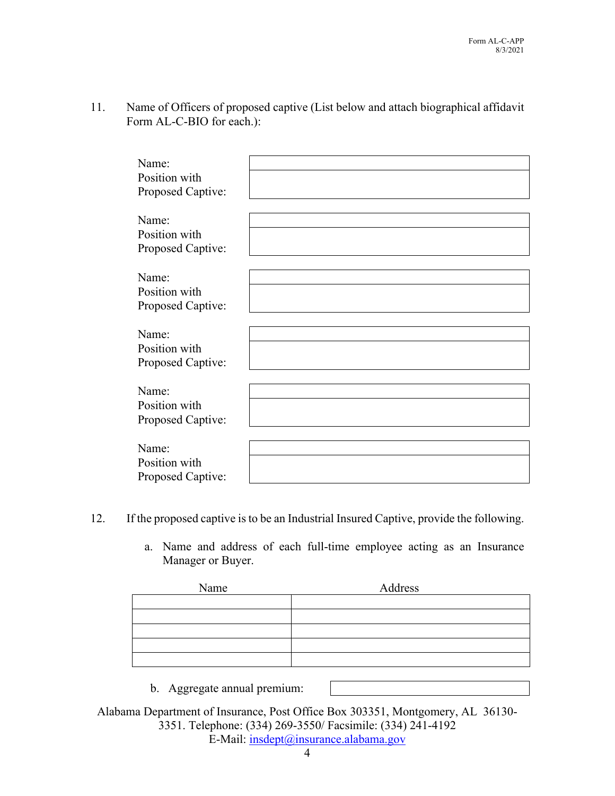11. Name of Officers of proposed captive (List below and attach biographical affidavit Form AL-C-BIO for each.):

| Name:             |  |
|-------------------|--|
|                   |  |
| Position with     |  |
| Proposed Captive: |  |
|                   |  |
|                   |  |
| Name:             |  |
| Position with     |  |
|                   |  |
| Proposed Captive: |  |
|                   |  |
| Name:             |  |
|                   |  |
| Position with     |  |
| Proposed Captive: |  |
|                   |  |
|                   |  |
| Name:             |  |
| Position with     |  |
| Proposed Captive: |  |
|                   |  |
|                   |  |
| Name:             |  |
| Position with     |  |
|                   |  |
| Proposed Captive: |  |
|                   |  |
| Name:             |  |
|                   |  |
| Position with     |  |
| Proposed Captive: |  |

- 12. If the proposed captive is to be an Industrial Insured Captive, provide the following.
	- a. Name and address of each full-time employee acting as an Insurance Manager or Buyer.

| Name | Address |
|------|---------|
|      |         |
|      |         |
|      |         |
|      |         |
|      |         |

b. Aggregate annual premium: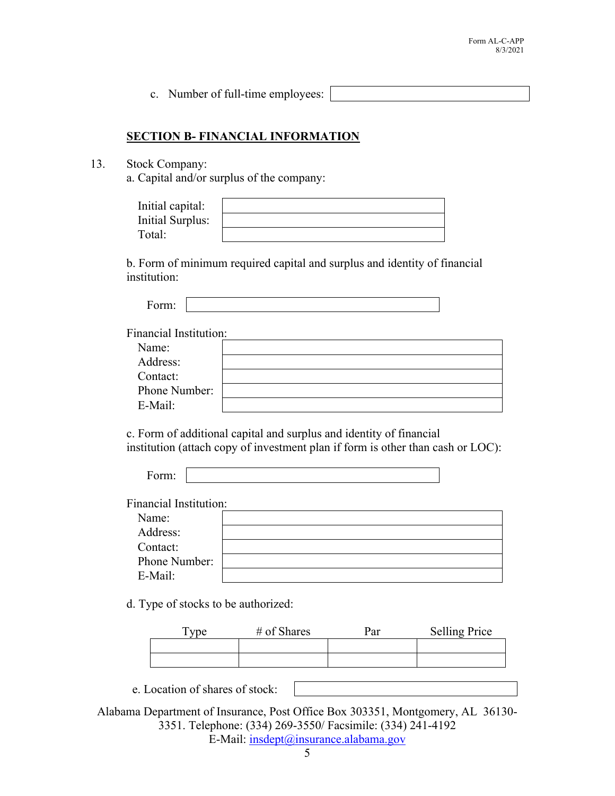c. Number of full-time employees:

### **SECTION B- FINANCIAL INFORMATION**

13. Stock Company:

a. Capital and/or surplus of the company:

| Initial capital: |  |
|------------------|--|
| Initial Surplus: |  |
| Total:           |  |

b. Form of minimum required capital and surplus and identity of financial institution:

| -<br>. . |  |
|----------|--|

Financial Institution:

| Name:         |  |
|---------------|--|
| Address:      |  |
| Contact:      |  |
| Phone Number: |  |
| E-Mail:       |  |

 c. Form of additional capital and surplus and identity of financial institution (attach copy of investment plan if form is other than cash or LOC):

|--|

Financial Institution:

| Name:         |  |
|---------------|--|
| Address:      |  |
| Contact:      |  |
| Phone Number: |  |
| E-Mail:       |  |

d. Type of stocks to be authorized:

|  | <b>Selling Price</b> |
|--|----------------------|
|  |                      |
|  |                      |

e. Location of shares of stock: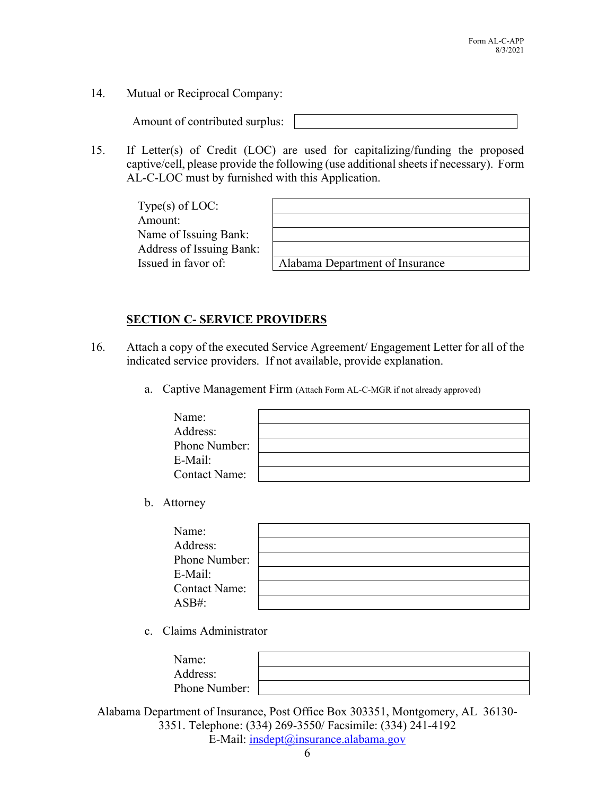14. Mutual or Reciprocal Company:

Amount of contributed surplus:

15. If Letter(s) of Credit (LOC) are used for capitalizing/funding the proposed captive/cell, please provide the following (use additional sheets if necessary). Form AL-C-LOC must by furnished with this Application.

| Type $(s)$ of LOC:       |                                 |
|--------------------------|---------------------------------|
| Amount:                  |                                 |
| Name of Issuing Bank:    |                                 |
| Address of Issuing Bank: |                                 |
| Issued in favor of:      | Alabama Department of Insurance |

| Alabama Denartment of Insurance |
|---------------------------------|

# **SECTION C- SERVICE PROVIDERS**

- 16. Attach a copy of the executed Service Agreement/ Engagement Letter for all of the indicated service providers. If not available, provide explanation.
	- a. Captive Management Firm (Attach Form AL-C-MGR if not already approved)

| Name:                |  |
|----------------------|--|
| Address:             |  |
| Phone Number:        |  |
| E-Mail:              |  |
| <b>Contact Name:</b> |  |

b. Attorney

| Name:                |  |
|----------------------|--|
| Address:             |  |
| Phone Number:        |  |
| E-Mail:              |  |
| <b>Contact Name:</b> |  |
| $ASB#$ :             |  |

c. Claims Administrator

| Name:         |  |
|---------------|--|
| Address:      |  |
| Phone Number: |  |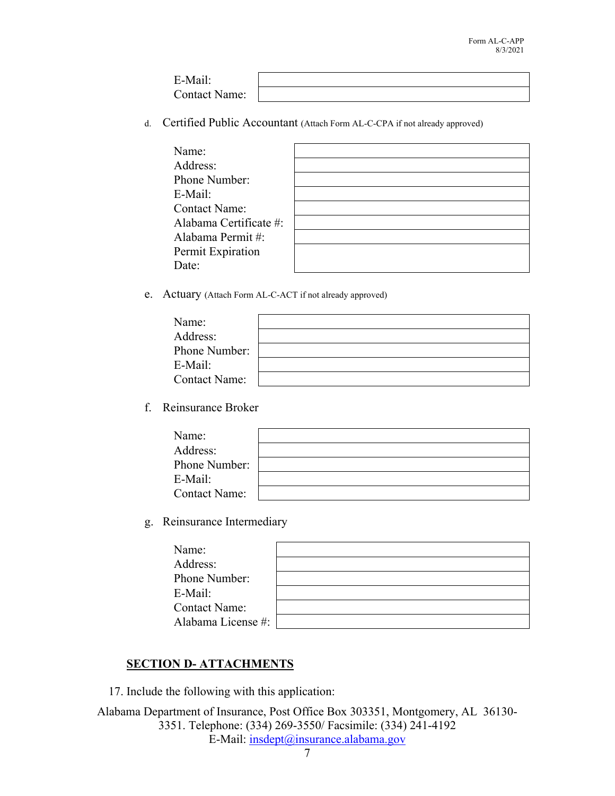| $F$ -Mail·           |  |
|----------------------|--|
| <b>Contact Name:</b> |  |

d. Certified Public Accountant (Attach Form AL-C-CPA if not already approved)

| Name:                  |  |
|------------------------|--|
| Address:               |  |
| Phone Number:          |  |
| E-Mail:                |  |
| <b>Contact Name:</b>   |  |
| Alabama Certificate #: |  |
| Alabama Permit#:       |  |
| Permit Expiration      |  |
| Date:                  |  |

e. Actuary (Attach Form AL-C-ACT if not already approved)

| Name:                |  |
|----------------------|--|
| Address:             |  |
| Phone Number:        |  |
| E-Mail:              |  |
| <b>Contact Name:</b> |  |

f. Reinsurance Broker

| Name:                |  |
|----------------------|--|
| Address:             |  |
| Phone Number:        |  |
| E-Mail:              |  |
| <b>Contact Name:</b> |  |

g. Reinsurance Intermediary

| Name:                |  |
|----------------------|--|
| Address:             |  |
| Phone Number:        |  |
| E-Mail:              |  |
| <b>Contact Name:</b> |  |
| Alabama License #:   |  |

# **SECTION D- ATTACHMENTS**

17. Include the following with this application: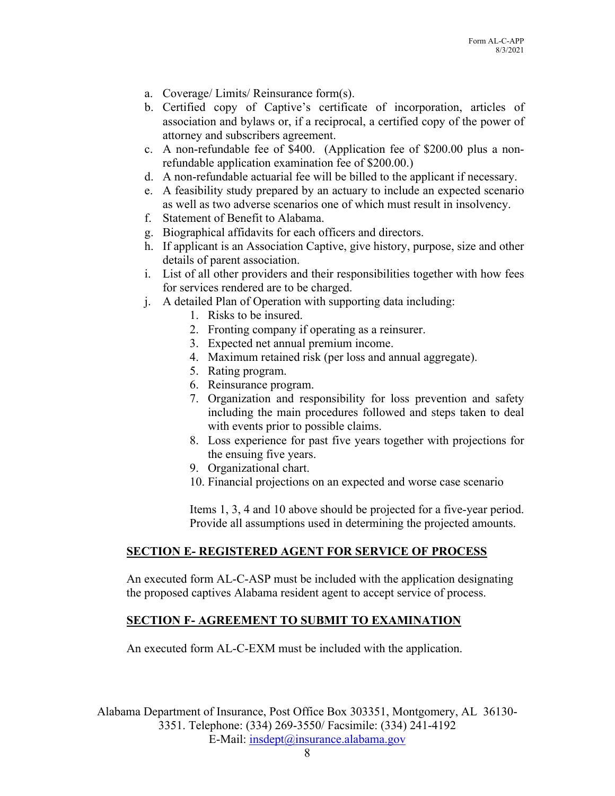- a. Coverage/ Limits/ Reinsurance form(s).
- b. Certified copy of Captive's certificate of incorporation, articles of association and bylaws or, if a reciprocal, a certified copy of the power of attorney and subscribers agreement.
- c. A non-refundable fee of \$400. (Application fee of \$200.00 plus a nonrefundable application examination fee of \$200.00.)
- d. A non-refundable actuarial fee will be billed to the applicant if necessary.
- e. A feasibility study prepared by an actuary to include an expected scenario as well as two adverse scenarios one of which must result in insolvency.
- f. Statement of Benefit to Alabama.
- g. Biographical affidavits for each officers and directors.
- h. If applicant is an Association Captive, give history, purpose, size and other details of parent association.
- i. List of all other providers and their responsibilities together with how fees for services rendered are to be charged.
- j. A detailed Plan of Operation with supporting data including:
	- 1. Risks to be insured.
	- 2. Fronting company if operating as a reinsurer.
	- 3. Expected net annual premium income.
	- 4. Maximum retained risk (per loss and annual aggregate).
	- 5. Rating program.
	- 6. Reinsurance program.
	- 7. Organization and responsibility for loss prevention and safety including the main procedures followed and steps taken to deal with events prior to possible claims.
	- 8. Loss experience for past five years together with projections for the ensuing five years.
	- 9. Organizational chart.
	- 10. Financial projections on an expected and worse case scenario

Items 1, 3, 4 and 10 above should be projected for a five-year period. Provide all assumptions used in determining the projected amounts.

### **SECTION E- REGISTERED AGENT FOR SERVICE OF PROCESS**

 An executed form AL-C-ASP must be included with the application designating the proposed captives Alabama resident agent to accept service of process.

### **SECTION F- AGREEMENT TO SUBMIT TO EXAMINATION**

An executed form AL-C-EXM must be included with the application.